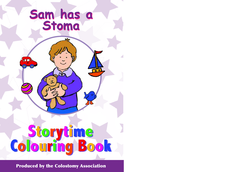Produced by the Colostomy Association

#### **Sam has a Stoma Sam has a Stoma**

推薦

# **Storytime<br>Colouring Book**

 $\bullet$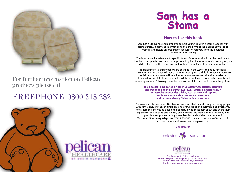

For further information on Pelican products please call

### FREEPHONE: 0800 318 282



#### **How to Use this book**

Sam has a Stoma has been prepared to help young children become familiar with stoma surgery. It provides information to the child who is the patient as well as to brothers and sisters on preparation for surgery, recovery from the operation and return to full activity.

The booklet avoids reference to specific types of stoma so that it can be used in any situation. The specifics will have to be provided by the doctors and nurses caring for your child. Please use this colouring book only as a supplement to their information.

In explaining to a child what will be changed in the way of the body functions, be sure to point out what will not change. For example, if a child is to have a urostomy, explain that the bowels will function as before. We suggest that the booklet be introduced to the child by an adult who will take the time to discuss its contents and answer questions. Following these discussions the child may like to colour the pictures.

**This booklet is supported by other Colostomy Association literature and freephone helpline 0800 328 4257 which is available 24/7. The Association provides advice, reassurance and support to those who are about to have a colostomy and to those already 'living with a colostomy'.**

You may also like to contact Breakaway - a charity that exists to support young people with bowel and/or bladder diversions and dysfunctions and their families. Breakaway offers families and young people the opportunity to meet, talk about and share their experiences in a relaxed and friendly environment. The main aim of Breakaway is to provide a supportive setting where families and children can have fun! To contact Breakaway telephone 07903 220040 or email: break.away@tiscali.co.uk or to learn more visit: www.breakaway-visit.co.uk.

Kind Regards,





Our thanks go to Pelican Healthcare who kindly sponsored the printing of Sam has a Stoma and to Claire Bohr at Bristol Royal Hospital for the revised content and specialist input



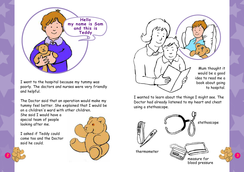I went to the hospital because my tummy was poorly. The doctors and nurses were very friendly and helpful.

The Doctor said that an operation would make my tummy feel better. She explained that I would be on a children's ward with other children.

She said I would have a special team of people looking after me.

I asked if Teddy could come too and the Doctor said he could.







Mum thought it would be a good idea to read me a book about going to hospital.

I wanted to learn about the things I might see. The Doctor had already listened to my heart and chest using a stethoscope.





thermometer



blood pressure

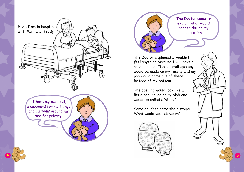



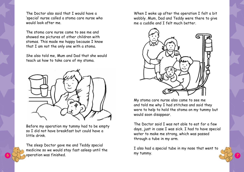When I woke up after the operation I felt a bit wobbly. Mum, Dad and Teddy were there to give me a cuddle and I felt much better.



My stoma care nurse also came to see me and told me why I had stitches and said they were to help to hold the stoma on my tummy but would soon disappear.

The Doctor said I was not able to eat for a few days, just in case I was sick. I had to have special water to make me strong, which was passed through a tube in my arm.

I also had a special tube in my nose that went to

**6**  $\bigcirc$  P operation was finished. The sleep Doctor gave me and Teddy special medicine so we would stay fast asleep until the operation was finished.

The Doctor also said that I would have a 'special' nurse called a stoma care nurse who would look after me.

The stoma care nurse came to see me and showed me pictures of other children with stomas. This made me happy because I know that I am not the only one with a stoma.

She also told me, Mum and Dad that she would teach us how to take care of my stoma.



Before my operation my tummy had to be empty so I did not have breakfast but could have a little drink.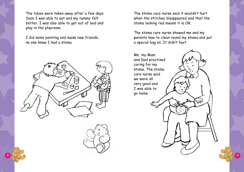The tubes were taken away after a few days. Soon I was able to eat and my tummy felt better. I was also able to get out of bed and play in the playroom.

I did some painting and made new friends, no one knew I had a stoma.







The stoma care nurse said it wouldn't hurt when the stitches disappeared and that the stoma looking red means it is OK.

The stoma care nurse showed me and my parents how to clean round my stoma and put a special bag on. It didn't hurt.

Me, my Mum and Dad practised caring for my stoma. The stoma care nurse said we were all very good and I was able to go home.

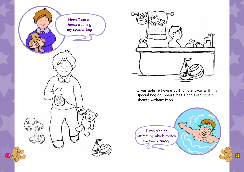I was able to have a bath or a shower with my special bag on. Sometimes I can even have a shower without it on.





I can also go swimming which makes me really happy.

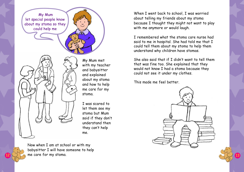

 $12 \cup 1$  me care for my stoma. Now when I am at school or with my babysitter I will have someone to help

When I went back to school, I was worried about telling my friends about my stoma because I thought they might not want to play with me anymore or would laugh.

I remembered what the stoma care nurse had said to me in hospital. She had told me that I could tell them about my stoma to help them understand why children have stomas.

She also said that if I didn't want to tell them that was fine too. She explained that they would not know I had a stoma because they could not see it under my clothes.

This made me feel better.



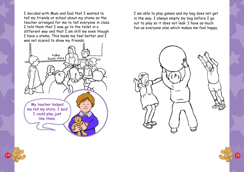I am able to play games and my bag does not get in the way. I always empty my bag before I go out to play so it does not leak. I have as much fun as everyone else which makes me feel happy.



I decided with Mum and Dad that I wanted to tell my friends at school about my stoma so the teacher arranged for me to tell everyone in class. I told them that I now go to the toilet in a different way and that I am still me even though I have a stoma. This made me feel better and I was not scared to show my friends.



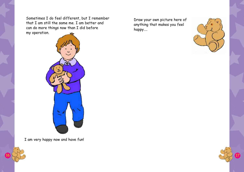Draw your own picture here of anything that makes you feel happy....





Sometimes I do feel different, but I remember that I am still the same me. I am better and can do more things now than I did before my operation.



I am very happy now and have fun!